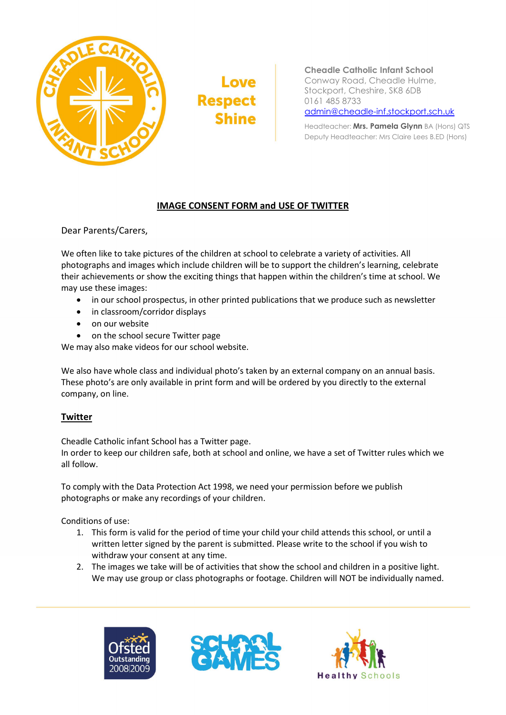

Love **Respect Shine** 

Cheadle Catholic Infant School Conway Road, Cheadle Hulme, Stockport, Cheshire, SK8 6DB 0161 485 8733 admin@cheadle-inf.stockport.sch.uk

Headteacher: Mrs. Pamela Glynn BA (Hons) QTS Deputy Headteacher: Mrs Claire Lees B.ED (Hons)

## IMAGE CONSENT FORM and USE OF TWITTER

Dear Parents/Carers,

We often like to take pictures of the children at school to celebrate a variety of activities. All photographs and images which include children will be to support the children's learning, celebrate their achievements or show the exciting things that happen within the children's time at school. We may use these images:

- in our school prospectus, in other printed publications that we produce such as newsletter
- in classroom/corridor displays
- on our website
- on the school secure Twitter page

We may also make videos for our school website.

We also have whole class and individual photo's taken by an external company on an annual basis. These photo's are only available in print form and will be ordered by you directly to the external company, on line.

## **Twitter**

Cheadle Catholic infant School has a Twitter page.

In order to keep our children safe, both at school and online, we have a set of Twitter rules which we all follow.

To comply with the Data Protection Act 1998, we need your permission before we publish photographs or make any recordings of your children.

Conditions of use:

- 1. This form is valid for the period of time your child your child attends this school, or until a written letter signed by the parent is submitted. Please write to the school if you wish to withdraw your consent at any time.
- 2. The images we take will be of activities that show the school and children in a positive light. We may use group or class photographs or footage. Children will NOT be individually named.